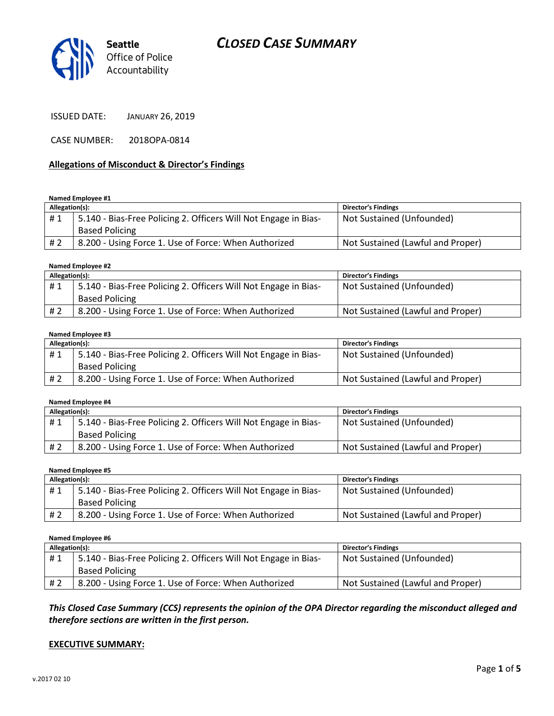



ISSUED DATE: JANUARY 26, 2019

CASE NUMBER: 2018OPA-0814

### Allegations of Misconduct & Director's Findings

Named Employee #1

| Allegation(s): |                                                                 | <b>Director's Findings</b>        |
|----------------|-----------------------------------------------------------------|-----------------------------------|
| #1             | 5.140 - Bias-Free Policing 2. Officers Will Not Engage in Bias- | Not Sustained (Unfounded)         |
|                | <b>Based Policing</b>                                           |                                   |
| # 2            | 8.200 - Using Force 1. Use of Force: When Authorized            | Not Sustained (Lawful and Proper) |

#### Named Employee #2

| Allegation(s): |                                                                 | <b>Director's Findings</b>        |
|----------------|-----------------------------------------------------------------|-----------------------------------|
| #1             | 5.140 - Bias-Free Policing 2. Officers Will Not Engage in Bias- | Not Sustained (Unfounded)         |
|                | <b>Based Policing</b>                                           |                                   |
| #2             | 8.200 - Using Force 1. Use of Force: When Authorized            | Not Sustained (Lawful and Proper) |

#### Named Employee #3

| Allegation(s): |                                                                 | <b>Director's Findings</b>        |
|----------------|-----------------------------------------------------------------|-----------------------------------|
| #1             | 5.140 - Bias-Free Policing 2. Officers Will Not Engage in Bias- | Not Sustained (Unfounded)         |
|                | <b>Based Policing</b>                                           |                                   |
| # 2            | 8.200 - Using Force 1. Use of Force: When Authorized            | Not Sustained (Lawful and Proper) |

#### Named Employee #4

| Allegation(s): |                                                                 | <b>Director's Findings</b>        |
|----------------|-----------------------------------------------------------------|-----------------------------------|
| #1             | 5.140 - Bias-Free Policing 2. Officers Will Not Engage in Bias- | Not Sustained (Unfounded)         |
|                | <b>Based Policing</b>                                           |                                   |
| # 2            | 8.200 - Using Force 1. Use of Force: When Authorized            | Not Sustained (Lawful and Proper) |

#### Named Employee #5

| Allegation(s): |                                                                 | <b>Director's Findings</b>        |
|----------------|-----------------------------------------------------------------|-----------------------------------|
| #1             | 5.140 - Bias-Free Policing 2. Officers Will Not Engage in Bias- | Not Sustained (Unfounded)         |
|                | <b>Based Policing</b>                                           |                                   |
| # 2            | 8.200 - Using Force 1. Use of Force: When Authorized            | Not Sustained (Lawful and Proper) |

Named Employee #6

| Allegation(s): |                                                                 | <b>Director's Findings</b>        |
|----------------|-----------------------------------------------------------------|-----------------------------------|
| #1             | 5.140 - Bias-Free Policing 2. Officers Will Not Engage in Bias- | Not Sustained (Unfounded)         |
|                | <b>Based Policing</b>                                           |                                   |
| # 2            | 8.200 - Using Force 1. Use of Force: When Authorized            | Not Sustained (Lawful and Proper) |

This Closed Case Summary (CCS) represents the opinion of the OPA Director regarding the misconduct alleged and therefore sections are written in the first person.

### EXECUTIVE SUMMARY: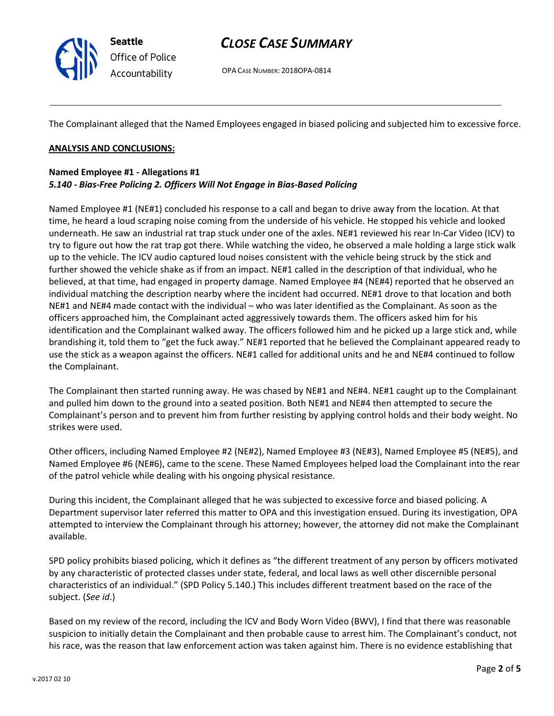

# CLOSE CASE SUMMARY

OPA CASE NUMBER: 2018OPA-0814

The Complainant alleged that the Named Employees engaged in biased policing and subjected him to excessive force.

### ANALYSIS AND CONCLUSIONS:

### Named Employee #1 - Allegations #1 5.140 - Bias-Free Policing 2. Officers Will Not Engage in Bias-Based Policing

Named Employee #1 (NE#1) concluded his response to a call and began to drive away from the location. At that time, he heard a loud scraping noise coming from the underside of his vehicle. He stopped his vehicle and looked underneath. He saw an industrial rat trap stuck under one of the axles. NE#1 reviewed his rear In-Car Video (ICV) to try to figure out how the rat trap got there. While watching the video, he observed a male holding a large stick walk up to the vehicle. The ICV audio captured loud noises consistent with the vehicle being struck by the stick and further showed the vehicle shake as if from an impact. NE#1 called in the description of that individual, who he believed, at that time, had engaged in property damage. Named Employee #4 (NE#4) reported that he observed an individual matching the description nearby where the incident had occurred. NE#1 drove to that location and both NE#1 and NE#4 made contact with the individual – who was later identified as the Complainant. As soon as the officers approached him, the Complainant acted aggressively towards them. The officers asked him for his identification and the Complainant walked away. The officers followed him and he picked up a large stick and, while brandishing it, told them to "get the fuck away." NE#1 reported that he believed the Complainant appeared ready to use the stick as a weapon against the officers. NE#1 called for additional units and he and NE#4 continued to follow the Complainant.

The Complainant then started running away. He was chased by NE#1 and NE#4. NE#1 caught up to the Complainant and pulled him down to the ground into a seated position. Both NE#1 and NE#4 then attempted to secure the Complainant's person and to prevent him from further resisting by applying control holds and their body weight. No strikes were used.

Other officers, including Named Employee #2 (NE#2), Named Employee #3 (NE#3), Named Employee #5 (NE#5), and Named Employee #6 (NE#6), came to the scene. These Named Employees helped load the Complainant into the rear of the patrol vehicle while dealing with his ongoing physical resistance.

During this incident, the Complainant alleged that he was subjected to excessive force and biased policing. A Department supervisor later referred this matter to OPA and this investigation ensued. During its investigation, OPA attempted to interview the Complainant through his attorney; however, the attorney did not make the Complainant available.

SPD policy prohibits biased policing, which it defines as "the different treatment of any person by officers motivated by any characteristic of protected classes under state, federal, and local laws as well other discernible personal characteristics of an individual." (SPD Policy 5.140.) This includes different treatment based on the race of the subject. (See id.)

Based on my review of the record, including the ICV and Body Worn Video (BWV), I find that there was reasonable suspicion to initially detain the Complainant and then probable cause to arrest him. The Complainant's conduct, not his race, was the reason that law enforcement action was taken against him. There is no evidence establishing that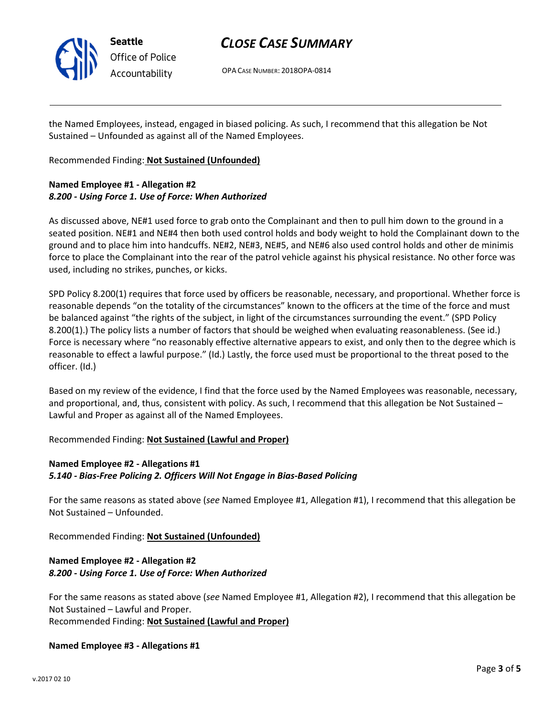

Seattle Office of Police Accountability

# CLOSE CASE SUMMARY

OPA CASE NUMBER: 2018OPA-0814

the Named Employees, instead, engaged in biased policing. As such, I recommend that this allegation be Not Sustained – Unfounded as against all of the Named Employees.

Recommended Finding: Not Sustained (Unfounded)

# Named Employee #1 - Allegation #2 8.200 - Using Force 1. Use of Force: When Authorized

As discussed above, NE#1 used force to grab onto the Complainant and then to pull him down to the ground in a seated position. NE#1 and NE#4 then both used control holds and body weight to hold the Complainant down to the ground and to place him into handcuffs. NE#2, NE#3, NE#5, and NE#6 also used control holds and other de minimis force to place the Complainant into the rear of the patrol vehicle against his physical resistance. No other force was used, including no strikes, punches, or kicks.

SPD Policy 8.200(1) requires that force used by officers be reasonable, necessary, and proportional. Whether force is reasonable depends "on the totality of the circumstances" known to the officers at the time of the force and must be balanced against "the rights of the subject, in light of the circumstances surrounding the event." (SPD Policy 8.200(1).) The policy lists a number of factors that should be weighed when evaluating reasonableness. (See id.) Force is necessary where "no reasonably effective alternative appears to exist, and only then to the degree which is reasonable to effect a lawful purpose." (Id.) Lastly, the force used must be proportional to the threat posed to the officer. (Id.)

Based on my review of the evidence, I find that the force used by the Named Employees was reasonable, necessary, and proportional, and, thus, consistent with policy. As such, I recommend that this allegation be Not Sustained – Lawful and Proper as against all of the Named Employees.

Recommended Finding: Not Sustained (Lawful and Proper)

# Named Employee #2 - Allegations #1 5.140 - Bias-Free Policing 2. Officers Will Not Engage in Bias-Based Policing

For the same reasons as stated above (see Named Employee #1, Allegation #1), I recommend that this allegation be Not Sustained – Unfounded.

Recommended Finding: Not Sustained (Unfounded)

# Named Employee #2 - Allegation #2 8.200 - Using Force 1. Use of Force: When Authorized

For the same reasons as stated above (see Named Employee #1, Allegation #2), I recommend that this allegation be Not Sustained – Lawful and Proper. Recommended Finding: Not Sustained (Lawful and Proper)

# Named Employee #3 - Allegations #1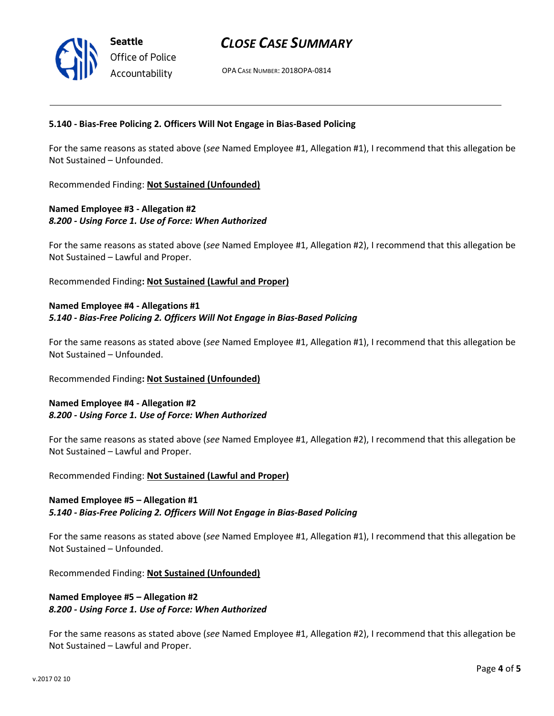# CLOSE CASE SUMMARY

OPA CASE NUMBER: 2018OPA-0814

### 5.140 - Bias-Free Policing 2. Officers Will Not Engage in Bias-Based Policing

For the same reasons as stated above (see Named Employee #1, Allegation #1), I recommend that this allegation be Not Sustained – Unfounded.

Recommended Finding: Not Sustained (Unfounded)

# Named Employee #3 - Allegation #2 8.200 - Using Force 1. Use of Force: When Authorized

For the same reasons as stated above (see Named Employee #1, Allegation #2), I recommend that this allegation be Not Sustained – Lawful and Proper.

Recommended Finding: Not Sustained (Lawful and Proper)

# Named Employee #4 - Allegations #1 5.140 - Bias-Free Policing 2. Officers Will Not Engage in Bias-Based Policing

For the same reasons as stated above (see Named Employee #1, Allegation #1), I recommend that this allegation be Not Sustained – Unfounded.

### Recommended Finding: Not Sustained (Unfounded)

## Named Employee #4 - Allegation #2 8.200 - Using Force 1. Use of Force: When Authorized

For the same reasons as stated above (see Named Employee #1, Allegation #2), I recommend that this allegation be Not Sustained – Lawful and Proper.

Recommended Finding: Not Sustained (Lawful and Proper)

# Named Employee #5 – Allegation #1

### 5.140 - Bias-Free Policing 2. Officers Will Not Engage in Bias-Based Policing

For the same reasons as stated above (see Named Employee #1, Allegation #1), I recommend that this allegation be Not Sustained – Unfounded.

Recommended Finding: Not Sustained (Unfounded)

# Named Employee #5 – Allegation #2 8.200 - Using Force 1. Use of Force: When Authorized

For the same reasons as stated above (see Named Employee #1, Allegation #2), I recommend that this allegation be Not Sustained – Lawful and Proper.